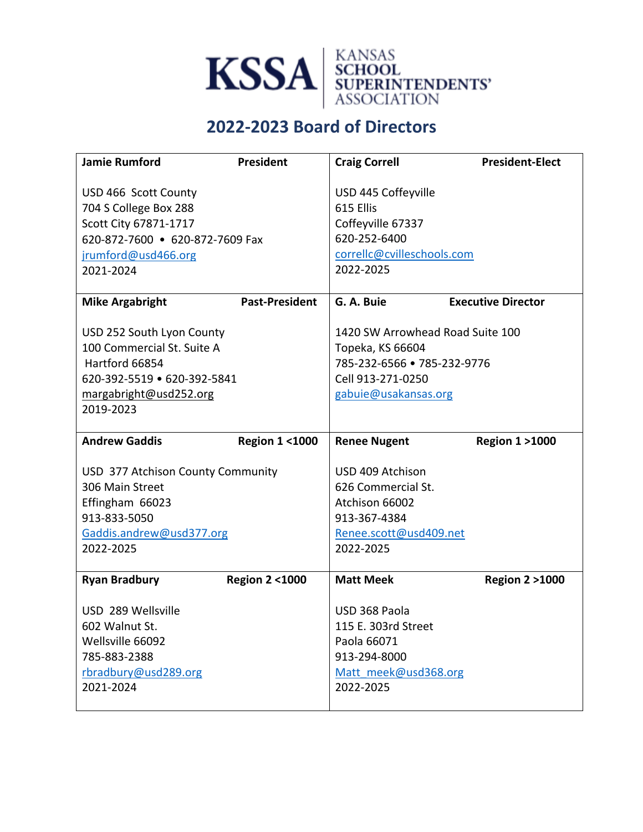

## **2022-2023 Board of Directors**

| <b>Jamie Rumford</b>                         | President                | <b>Craig Correll</b>              | <b>President-Elect</b>    |  |  |
|----------------------------------------------|--------------------------|-----------------------------------|---------------------------|--|--|
|                                              |                          |                                   |                           |  |  |
| USD 466 Scott County                         |                          |                                   | USD 445 Coffeyville       |  |  |
| 704 S College Box 288                        |                          | 615 Ellis                         |                           |  |  |
| Scott City 67871-1717                        |                          | Coffeyville 67337                 |                           |  |  |
| 620-872-7600 • 620-872-7609 Fax              |                          | 620-252-6400                      |                           |  |  |
| jrumford@usd466.org                          |                          | correllc@cvilleschools.com        |                           |  |  |
| 2021-2024                                    |                          | 2022-2025                         |                           |  |  |
|                                              |                          |                                   |                           |  |  |
| <b>Mike Argabright</b>                       | <b>Past-President</b>    | G. A. Buie                        | <b>Executive Director</b> |  |  |
|                                              |                          |                                   |                           |  |  |
| USD 252 South Lyon County                    |                          | 1420 SW Arrowhead Road Suite 100  |                           |  |  |
| 100 Commercial St. Suite A<br>Hartford 66854 |                          | Topeka, KS 66604                  |                           |  |  |
|                                              |                          | 785-232-6566 • 785-232-9776       |                           |  |  |
| 620-392-5519 • 620-392-5841                  |                          | Cell 913-271-0250                 |                           |  |  |
| margabright@usd252.org<br>2019-2023          |                          | gabuie@usakansas.org              |                           |  |  |
|                                              |                          |                                   |                           |  |  |
|                                              |                          |                                   |                           |  |  |
| <b>Andrew Gaddis</b>                         | <b>Region 1 &lt;1000</b> | <b>Renee Nugent</b>               | <b>Region 1 &gt;1000</b>  |  |  |
|                                              |                          |                                   |                           |  |  |
| USD 377 Atchison County Community            |                          | USD 409 Atchison                  |                           |  |  |
| 306 Main Street                              |                          | 626 Commercial St.                |                           |  |  |
| Effingham 66023                              |                          | Atchison 66002                    |                           |  |  |
| 913-833-5050                                 |                          | 913-367-4384                      |                           |  |  |
| Gaddis.andrew@usd377.org                     |                          | Renee.scott@usd409.net            |                           |  |  |
| 2022-2025                                    |                          | 2022-2025                         |                           |  |  |
|                                              |                          |                                   |                           |  |  |
| <b>Ryan Bradbury</b>                         | <b>Region 2 &lt;1000</b> | <b>Matt Meek</b>                  | <b>Region 2 &gt;1000</b>  |  |  |
|                                              |                          |                                   |                           |  |  |
| USD 289 Wellsville                           |                          | USD 368 Paola                     |                           |  |  |
| 602 Walnut St.                               |                          | 115 E. 303rd Street               |                           |  |  |
| Wellsville 66092                             |                          | Paola 66071                       |                           |  |  |
| 785-883-2388                                 |                          | 913-294-8000                      |                           |  |  |
| rbradbury@usd289.org<br>2021-2024            |                          | Matt meek@usd368.org<br>2022-2025 |                           |  |  |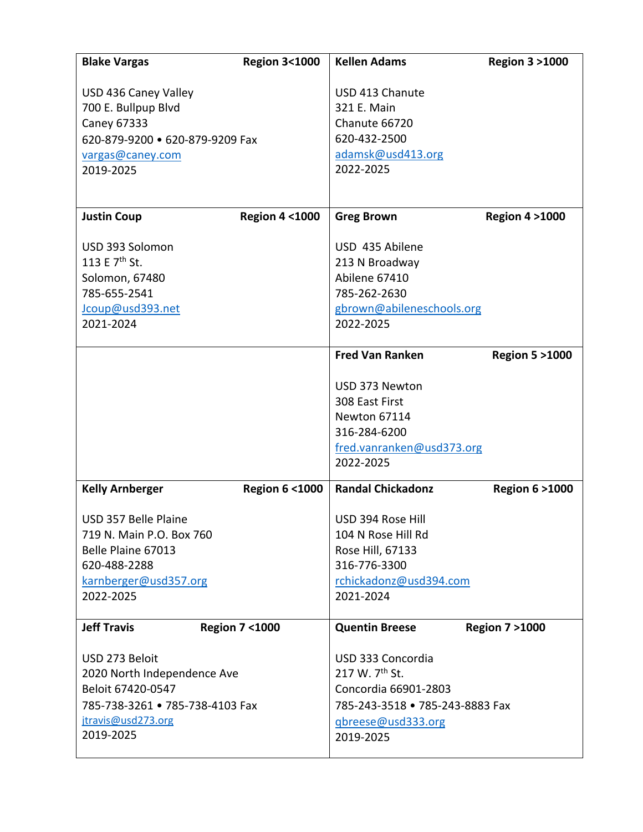| <b>Blake Vargas</b>                              | <b>Region 3&lt;1000</b>  | <b>Kellen Adams</b>                    | <b>Region 3 &gt;1000</b> |
|--------------------------------------------------|--------------------------|----------------------------------------|--------------------------|
| USD 436 Caney Valley                             |                          | USD 413 Chanute                        |                          |
| 700 E. Bullpup Blvd                              |                          | 321 E. Main                            |                          |
| Caney 67333                                      |                          | Chanute 66720                          |                          |
| 620-879-9200 · 620-879-9209 Fax                  |                          | 620-432-2500                           |                          |
| vargas@caney.com                                 |                          | adamsk@usd413.org                      |                          |
| 2019-2025                                        |                          | 2022-2025                              |                          |
|                                                  |                          |                                        |                          |
| <b>Justin Coup</b>                               | <b>Region 4 &lt;1000</b> | <b>Greg Brown</b>                      | <b>Region 4 &gt;1000</b> |
|                                                  |                          |                                        |                          |
| USD 393 Solomon                                  |                          | USD 435 Abilene                        |                          |
| 113 E 7 <sup>th</sup> St.                        |                          | 213 N Broadway                         |                          |
| Solomon, 67480                                   |                          | Abilene 67410                          |                          |
| 785-655-2541                                     |                          | 785-262-2630                           |                          |
| Jcoup@usd393.net                                 |                          | gbrown@abileneschools.org              |                          |
| 2021-2024                                        |                          | 2022-2025                              |                          |
|                                                  |                          | <b>Fred Van Ranken</b>                 | <b>Region 5 &gt;1000</b> |
|                                                  |                          |                                        |                          |
|                                                  |                          | USD 373 Newton                         |                          |
|                                                  |                          | 308 East First                         |                          |
|                                                  |                          | Newton 67114                           |                          |
|                                                  |                          | 316-284-6200                           |                          |
|                                                  |                          | fred.vanranken@usd373.org              |                          |
|                                                  |                          | 2022-2025                              |                          |
| <b>Kelly Arnberger</b>                           | <b>Region 6 &lt;1000</b> | <b>Randal Chickadonz</b>               | <b>Region 6 &gt;1000</b> |
|                                                  |                          |                                        |                          |
| USD 357 Belle Plaine<br>719 N. Main P.O. Box 760 |                          | USD 394 Rose Hill                      |                          |
| Belle Plaine 67013                               |                          | 104 N Rose Hill Rd<br>Rose Hill, 67133 |                          |
| 620-488-2288                                     |                          | 316-776-3300                           |                          |
| karnberger@usd357.org                            |                          | rchickadonz@usd394.com                 |                          |
| 2022-2025                                        |                          | 2021-2024                              |                          |
|                                                  |                          |                                        |                          |
| <b>Jeff Travis</b>                               | <b>Region 7 &lt;1000</b> | <b>Quentin Breese</b>                  | <b>Region 7 &gt;1000</b> |
| USD 273 Beloit                                   |                          | USD 333 Concordia                      |                          |
| 2020 North Independence Ave                      |                          | 217 W. 7 <sup>th</sup> St.             |                          |
| Beloit 67420-0547                                |                          | Concordia 66901-2803                   |                          |
| 785-738-3261 • 785-738-4103 Fax                  |                          | 785-243-3518 • 785-243-8883 Fax        |                          |
| jtravis@usd273.org                               |                          | qbreese@usd333.org                     |                          |
| 2019-2025                                        |                          | 2019-2025                              |                          |
|                                                  |                          |                                        |                          |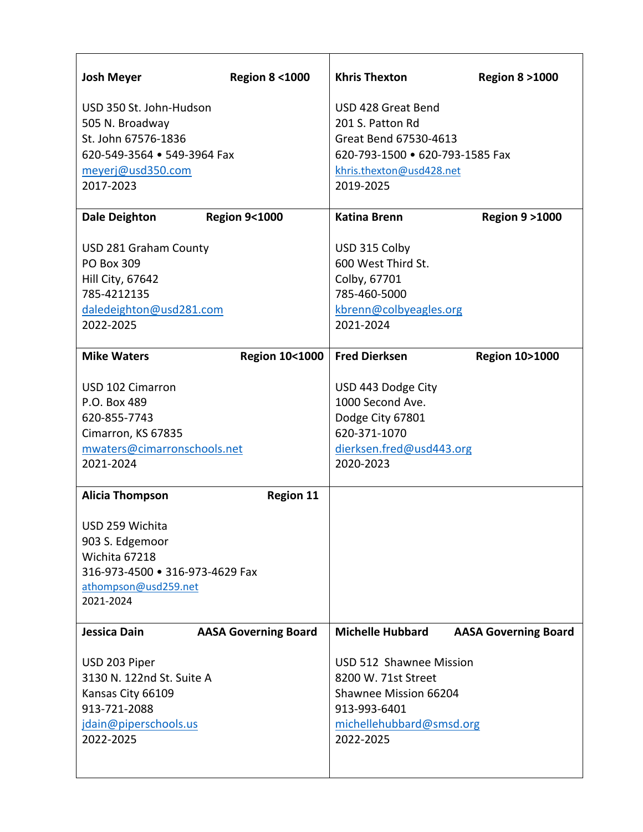| USD 350 St. John-Hudson<br>USD 428 Great Bend<br>201 S. Patton Rd<br>505 N. Broadway<br>St. John 67576-1836<br>Great Bend 67530-4613<br>620-549-3564 • 549-3964 Fax<br>620-793-1500 · 620-793-1585 Fax<br>meyerj@usd350.com<br>khris.thexton@usd428.net<br>2017-2023<br>2019-2025 | <b>Josh Meyer</b>               | <b>Region 8 &lt;1000</b> | <b>Khris Thexton</b>     | <b>Region 8 &gt;1000</b> |
|-----------------------------------------------------------------------------------------------------------------------------------------------------------------------------------------------------------------------------------------------------------------------------------|---------------------------------|--------------------------|--------------------------|--------------------------|
|                                                                                                                                                                                                                                                                                   |                                 |                          |                          |                          |
|                                                                                                                                                                                                                                                                                   |                                 |                          |                          |                          |
|                                                                                                                                                                                                                                                                                   |                                 |                          |                          |                          |
|                                                                                                                                                                                                                                                                                   |                                 |                          |                          |                          |
|                                                                                                                                                                                                                                                                                   |                                 |                          |                          |                          |
|                                                                                                                                                                                                                                                                                   |                                 |                          |                          |                          |
|                                                                                                                                                                                                                                                                                   |                                 |                          |                          |                          |
| <b>Dale Deighton</b><br><b>Region 9&lt;1000</b><br><b>Katina Brenn</b><br><b>Region 9 &gt; 1000</b>                                                                                                                                                                               |                                 |                          |                          |                          |
| USD 281 Graham County<br>USD 315 Colby                                                                                                                                                                                                                                            |                                 |                          |                          |                          |
| 600 West Third St.<br><b>PO Box 309</b>                                                                                                                                                                                                                                           |                                 |                          |                          |                          |
| <b>Hill City, 67642</b><br>Colby, 67701                                                                                                                                                                                                                                           |                                 |                          |                          |                          |
| 785-4212135<br>785-460-5000                                                                                                                                                                                                                                                       |                                 |                          |                          |                          |
| daledeighton@usd281.com<br>kbrenn@colbyeagles.org                                                                                                                                                                                                                                 |                                 |                          |                          |                          |
| 2022-2025<br>2021-2024                                                                                                                                                                                                                                                            |                                 |                          |                          |                          |
|                                                                                                                                                                                                                                                                                   |                                 |                          |                          |                          |
| <b>Fred Dierksen</b><br><b>Mike Waters</b><br><b>Region 10&lt;1000</b><br><b>Region 10&gt;1000</b>                                                                                                                                                                                |                                 |                          |                          |                          |
| USD 102 Cimarron<br>USD 443 Dodge City                                                                                                                                                                                                                                            |                                 |                          |                          |                          |
| 1000 Second Ave.<br>P.O. Box 489                                                                                                                                                                                                                                                  |                                 |                          |                          |                          |
| 620-855-7743<br>Dodge City 67801                                                                                                                                                                                                                                                  |                                 |                          |                          |                          |
| 620-371-1070<br>Cimarron, KS 67835                                                                                                                                                                                                                                                |                                 |                          |                          |                          |
| mwaters@cimarronschools.net                                                                                                                                                                                                                                                       |                                 |                          | dierksen.fred@usd443.org |                          |
| 2020-2023<br>2021-2024                                                                                                                                                                                                                                                            |                                 |                          |                          |                          |
|                                                                                                                                                                                                                                                                                   |                                 |                          |                          |                          |
| <b>Alicia Thompson</b><br><b>Region 11</b>                                                                                                                                                                                                                                        |                                 |                          |                          |                          |
| USD 259 Wichita                                                                                                                                                                                                                                                                   |                                 |                          |                          |                          |
| 903 S. Edgemoor                                                                                                                                                                                                                                                                   |                                 |                          |                          |                          |
| Wichita 67218                                                                                                                                                                                                                                                                     |                                 |                          |                          |                          |
|                                                                                                                                                                                                                                                                                   | 316-973-4500 . 316-973-4629 Fax |                          |                          |                          |
| athompson@usd259.net                                                                                                                                                                                                                                                              |                                 |                          |                          |                          |
| 2021-2024                                                                                                                                                                                                                                                                         |                                 |                          |                          |                          |
| <b>Michelle Hubbard</b><br>Jessica Dain<br><b>AASA Governing Board</b><br><b>AASA Governing Board</b>                                                                                                                                                                             |                                 |                          |                          |                          |
|                                                                                                                                                                                                                                                                                   |                                 |                          |                          |                          |
| USD 512 Shawnee Mission<br>USD 203 Piper                                                                                                                                                                                                                                          |                                 |                          |                          |                          |
| 3130 N. 122nd St. Suite A<br>8200 W. 71st Street                                                                                                                                                                                                                                  |                                 |                          |                          |                          |
| Kansas City 66109<br>Shawnee Mission 66204                                                                                                                                                                                                                                        |                                 |                          |                          |                          |
| 913-721-2088<br>913-993-6401                                                                                                                                                                                                                                                      |                                 |                          |                          |                          |
| jdain@piperschools.us<br>michellehubbard@smsd.org                                                                                                                                                                                                                                 |                                 |                          |                          |                          |
| 2022-2025<br>2022-2025                                                                                                                                                                                                                                                            |                                 |                          |                          |                          |
|                                                                                                                                                                                                                                                                                   |                                 |                          |                          |                          |